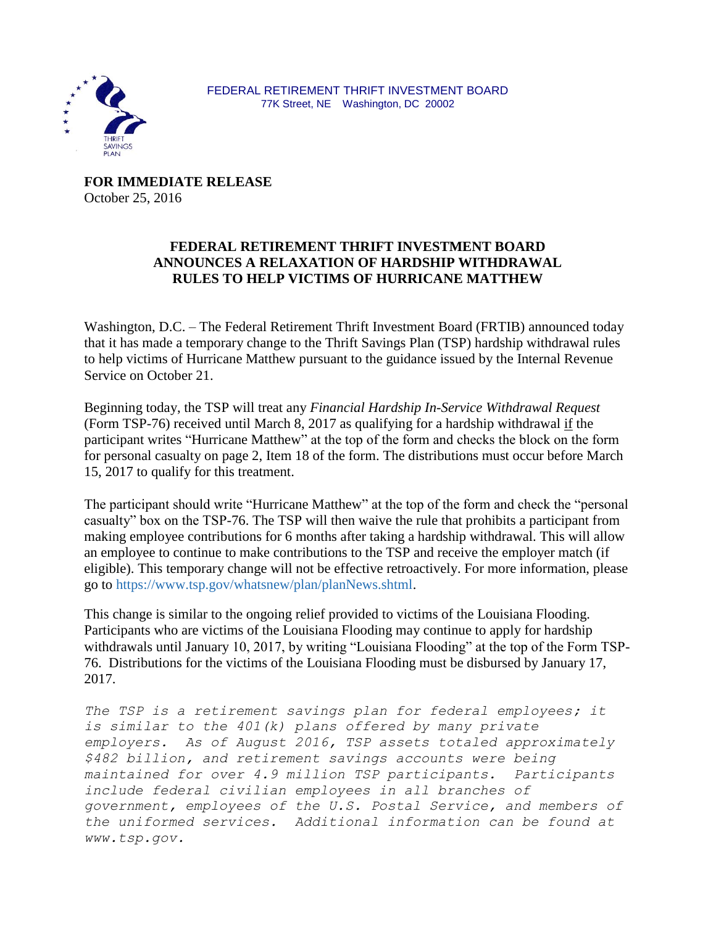

**FOR IMMEDIATE RELEASE** October 25, 2016

## **FEDERAL RETIREMENT THRIFT INVESTMENT BOARD ANNOUNCES A RELAXATION OF HARDSHIP WITHDRAWAL RULES TO HELP VICTIMS OF HURRICANE MATTHEW**

Washington, D.C. – The Federal Retirement Thrift Investment Board (FRTIB) announced today that it has made a temporary change to the Thrift Savings Plan (TSP) hardship withdrawal rules to help victims of Hurricane Matthew pursuant to the guidance issued by the Internal Revenue Service on October 21.

Beginning today, the TSP will treat any *Financial Hardship In-Service Withdrawal Request* (Form TSP-76) received until March 8, 2017 as qualifying for a hardship withdrawal if the participant writes "Hurricane Matthew" at the top of the form and checks the block on the form for personal casualty on page 2, Item 18 of the form. The distributions must occur before March 15, 2017 to qualify for this treatment.

The participant should write "Hurricane Matthew" at the top of the form and check the "personal casualty" box on the TSP-76. The TSP will then waive the rule that prohibits a participant from making employee contributions for 6 months after taking a hardship withdrawal. This will allow an employee to continue to make contributions to the TSP and receive the employer match (if eligible). This temporary change will not be effective retroactively. For more information, please go to [https://www.tsp.gov/whatsnew/plan/planNews.shtml.](https://www.tsp.gov/whatsnew/plan/planNews.shtml)

This change is similar to the ongoing relief provided to victims of the Louisiana Flooding. Participants who are victims of the Louisiana Flooding may continue to apply for hardship withdrawals until January 10, 2017, by writing "Louisiana Flooding" at the top of the Form TSP-76. Distributions for the victims of the Louisiana Flooding must be disbursed by January 17, 2017.

*The TSP is a retirement savings plan for federal employees; it is similar to the 401(k) plans offered by many private employers. As of August 2016, TSP assets totaled approximately \$482 billion, and retirement savings accounts were being maintained for over 4.9 million TSP participants. Participants include federal civilian employees in all branches of government, employees of the U.S. Postal Service, and members of the uniformed services. Additional information can be found at www[.tsp.gov.](http://cts.businesswire.com/ct/CT?id=smartlink&url=http%3A%2F%2Fwww.tsp.gov&esheet=6837062&lan=en-US&anchor=www.tsp.gov&index=1&md5=ddb0294386c838a9d24983ed6d3f3237)*